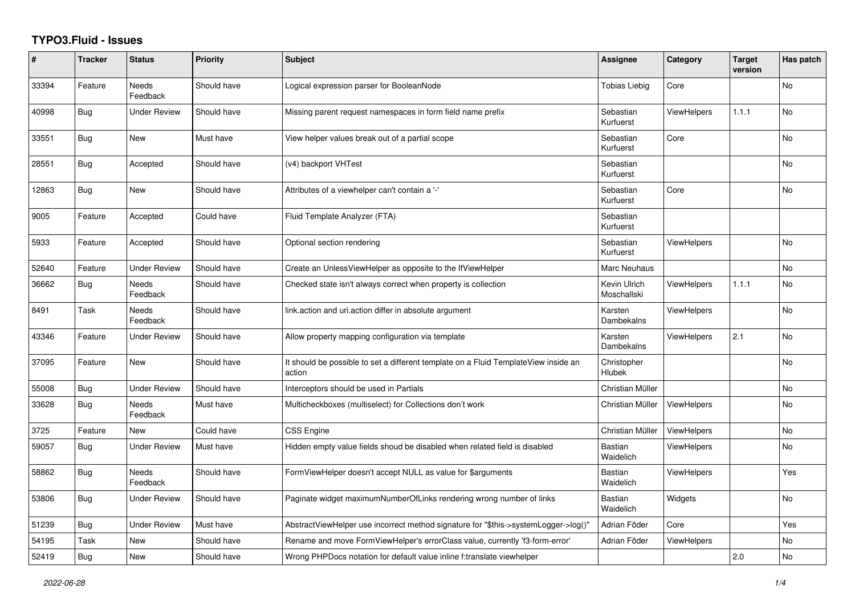## **TYPO3.Fluid - Issues**

| #     | <b>Tracker</b> | <b>Status</b>            | <b>Priority</b> | <b>Subject</b>                                                                                | Assignee                    | Category           | <b>Target</b><br>version | Has patch      |
|-------|----------------|--------------------------|-----------------|-----------------------------------------------------------------------------------------------|-----------------------------|--------------------|--------------------------|----------------|
| 33394 | Feature        | <b>Needs</b><br>Feedback | Should have     | Logical expression parser for BooleanNode                                                     | <b>Tobias Liebig</b>        | Core               |                          | <b>No</b>      |
| 40998 | Bug            | <b>Under Review</b>      | Should have     | Missing parent request namespaces in form field name prefix                                   | Sebastian<br>Kurfuerst      | ViewHelpers        | 1.1.1                    | N <sub>o</sub> |
| 33551 | Bug            | New                      | Must have       | View helper values break out of a partial scope                                               | Sebastian<br>Kurfuerst      | Core               |                          | No             |
| 28551 | Bug            | Accepted                 | Should have     | (v4) backport VHTest                                                                          | Sebastian<br>Kurfuerst      |                    |                          | No             |
| 12863 | Bug            | <b>New</b>               | Should have     | Attributes of a viewhelper can't contain a '-'                                                | Sebastian<br>Kurfuerst      | Core               |                          | No             |
| 9005  | Feature        | Accepted                 | Could have      | Fluid Template Analyzer (FTA)                                                                 | Sebastian<br>Kurfuerst      |                    |                          |                |
| 5933  | Feature        | Accepted                 | Should have     | Optional section rendering                                                                    | Sebastian<br>Kurfuerst      | <b>ViewHelpers</b> |                          | No             |
| 52640 | Feature        | <b>Under Review</b>      | Should have     | Create an UnlessViewHelper as opposite to the IfViewHelper                                    | Marc Neuhaus                |                    |                          | No             |
| 36662 | Bug            | <b>Needs</b><br>Feedback | Should have     | Checked state isn't always correct when property is collection                                | Kevin Ulrich<br>Moschallski | <b>ViewHelpers</b> | 1.1.1                    | No             |
| 8491  | Task           | Needs<br>Feedback        | Should have     | link.action and uri.action differ in absolute argument                                        | Karsten<br>Dambekalns       | ViewHelpers        |                          | No             |
| 43346 | Feature        | Under Review             | Should have     | Allow property mapping configuration via template                                             | Karsten<br>Dambekalns       | <b>ViewHelpers</b> | 2.1                      | No             |
| 37095 | Feature        | New                      | Should have     | It should be possible to set a different template on a Fluid TemplateView inside an<br>action | Christopher<br>Hlubek       |                    |                          | <b>No</b>      |
| 55008 | Bug            | <b>Under Review</b>      | Should have     | Interceptors should be used in Partials                                                       | Christian Müller            |                    |                          | <b>No</b>      |
| 33628 | Bug            | Needs<br>Feedback        | Must have       | Multicheckboxes (multiselect) for Collections don't work                                      | Christian Müller            | <b>ViewHelpers</b> |                          | No             |
| 3725  | Feature        | New                      | Could have      | CSS Engine                                                                                    | Christian Müller            | <b>ViewHelpers</b> |                          | No             |
| 59057 | <b>Bug</b>     | <b>Under Review</b>      | Must have       | Hidden empty value fields shoud be disabled when related field is disabled                    | Bastian<br>Waidelich        | <b>ViewHelpers</b> |                          | No             |
| 58862 | Bug            | Needs<br>Feedback        | Should have     | FormViewHelper doesn't accept NULL as value for \$arguments                                   | Bastian<br>Waidelich        | ViewHelpers        |                          | Yes            |
| 53806 | Bug            | Under Review             | Should have     | Paginate widget maximumNumberOfLinks rendering wrong number of links                          | Bastian<br>Waidelich        | Widgets            |                          | No             |
| 51239 | <b>Bug</b>     | <b>Under Review</b>      | Must have       | AbstractViewHelper use incorrect method signature for "\$this->systemLogger->log()"           | Adrian Föder                | Core               |                          | Yes            |
| 54195 | Task           | New                      | Should have     | Rename and move FormViewHelper's errorClass value, currently 'f3-form-error'                  | Adrian Föder                | <b>ViewHelpers</b> |                          | No             |
| 52419 | <b>Bug</b>     | New                      | Should have     | Wrong PHPDocs notation for default value inline f:translate viewhelper                        |                             |                    | 2.0                      | No             |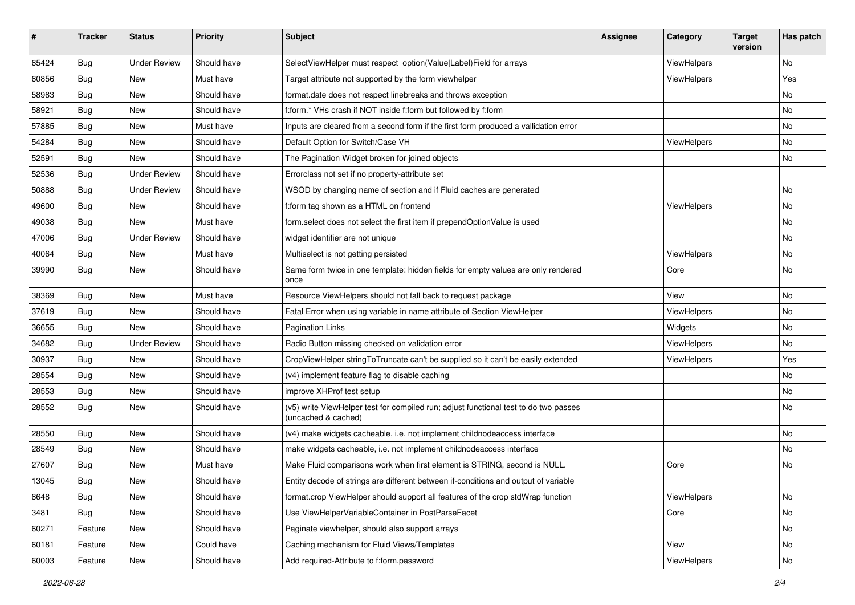| #     | <b>Tracker</b> | <b>Status</b>       | <b>Priority</b> | <b>Subject</b>                                                                                              | <b>Assignee</b> | Category    | <b>Target</b><br>version | Has patch |
|-------|----------------|---------------------|-----------------|-------------------------------------------------------------------------------------------------------------|-----------------|-------------|--------------------------|-----------|
| 65424 | Bug            | <b>Under Review</b> | Should have     | SelectViewHelper must respect option(Value Label)Field for arrays                                           |                 | ViewHelpers |                          | <b>No</b> |
| 60856 | Bug            | New                 | Must have       | Target attribute not supported by the form viewhelper                                                       |                 | ViewHelpers |                          | Yes       |
| 58983 | Bug            | New                 | Should have     | format.date does not respect linebreaks and throws exception                                                |                 |             |                          | No        |
| 58921 | Bug            | New                 | Should have     | f:form.* VHs crash if NOT inside f:form but followed by f:form                                              |                 |             |                          | No        |
| 57885 | Bug            | New                 | Must have       | Inputs are cleared from a second form if the first form produced a vallidation error                        |                 |             |                          | No        |
| 54284 | Bug            | <b>New</b>          | Should have     | Default Option for Switch/Case VH                                                                           |                 | ViewHelpers |                          | No        |
| 52591 | Bug            | New                 | Should have     | The Pagination Widget broken for joined objects                                                             |                 |             |                          | No        |
| 52536 | Bug            | <b>Under Review</b> | Should have     | Errorclass not set if no property-attribute set                                                             |                 |             |                          |           |
| 50888 | Bug            | <b>Under Review</b> | Should have     | WSOD by changing name of section and if Fluid caches are generated                                          |                 |             |                          | <b>No</b> |
| 49600 | Bug            | New                 | Should have     | f:form tag shown as a HTML on frontend                                                                      |                 | ViewHelpers |                          | No        |
| 49038 | Bug            | New                 | Must have       | form.select does not select the first item if prependOptionValue is used                                    |                 |             |                          | <b>No</b> |
| 47006 | Bug            | <b>Under Review</b> | Should have     | widget identifier are not unique                                                                            |                 |             |                          | No        |
| 40064 | Bug            | New                 | Must have       | Multiselect is not getting persisted                                                                        |                 | ViewHelpers |                          | No        |
| 39990 | Bug            | <b>New</b>          | Should have     | Same form twice in one template: hidden fields for empty values are only rendered<br>once                   |                 | Core        |                          | No        |
| 38369 | Bug            | New                 | Must have       | Resource ViewHelpers should not fall back to request package                                                |                 | View        |                          | No        |
| 37619 | Bug            | New                 | Should have     | Fatal Error when using variable in name attribute of Section ViewHelper                                     |                 | ViewHelpers |                          | No        |
| 36655 | Bug            | New                 | Should have     | <b>Pagination Links</b>                                                                                     |                 | Widgets     |                          | No        |
| 34682 | Bug            | <b>Under Review</b> | Should have     | Radio Button missing checked on validation error                                                            |                 | ViewHelpers |                          | <b>No</b> |
| 30937 | Bug            | New                 | Should have     | CropViewHelper stringToTruncate can't be supplied so it can't be easily extended                            |                 | ViewHelpers |                          | Yes       |
| 28554 | Bug            | New                 | Should have     | (v4) implement feature flag to disable caching                                                              |                 |             |                          | No        |
| 28553 | Bug            | New                 | Should have     | improve XHProf test setup                                                                                   |                 |             |                          | No        |
| 28552 | Bug            | New                 | Should have     | (v5) write ViewHelper test for compiled run; adjust functional test to do two passes<br>(uncached & cached) |                 |             |                          | No        |
| 28550 | Bug            | <b>New</b>          | Should have     | (v4) make widgets cacheable, i.e. not implement childnodeaccess interface                                   |                 |             |                          | No        |
| 28549 | Bug            | New                 | Should have     | make widgets cacheable, i.e. not implement childnodeaccess interface                                        |                 |             |                          | <b>No</b> |
| 27607 | <b>Bug</b>     | New                 | Must have       | Make Fluid comparisons work when first element is STRING, second is NULL.                                   |                 | Core        |                          | No        |
| 13045 | Bug            | New                 | Should have     | Entity decode of strings are different between if-conditions and output of variable                         |                 |             |                          |           |
| 8648  | Bug            | New                 | Should have     | format.crop ViewHelper should support all features of the crop stdWrap function                             |                 | ViewHelpers |                          | No        |
| 3481  | <b>Bug</b>     | New                 | Should have     | Use ViewHelperVariableContainer in PostParseFacet                                                           |                 | Core        |                          | No        |
| 60271 | Feature        | New                 | Should have     | Paginate viewhelper, should also support arrays                                                             |                 |             |                          | No        |
| 60181 | Feature        | New                 | Could have      | Caching mechanism for Fluid Views/Templates                                                                 |                 | View        |                          | No        |
| 60003 | Feature        | New                 | Should have     | Add required-Attribute to f:form.password                                                                   |                 | ViewHelpers |                          | No        |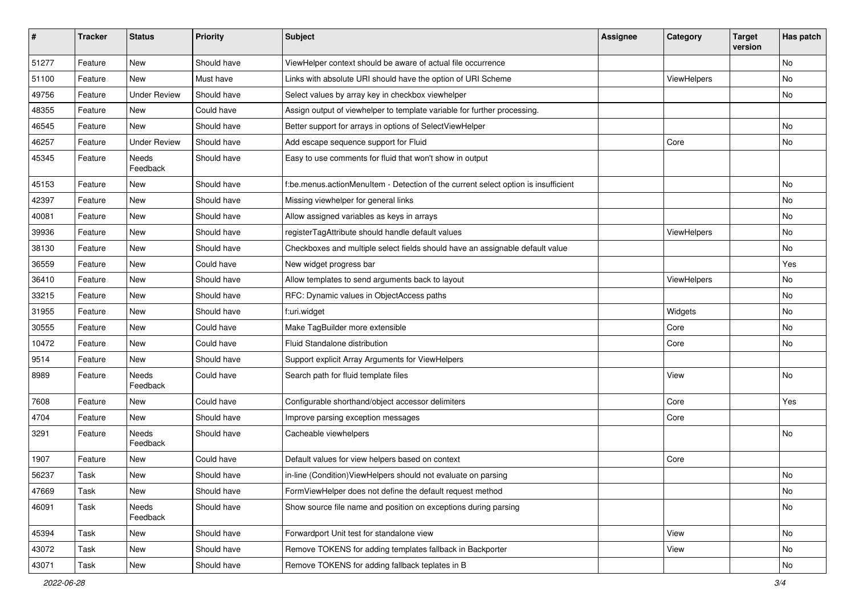| #     | <b>Tracker</b> | <b>Status</b>       | <b>Priority</b> | Subject                                                                            | <b>Assignee</b> | Category    | <b>Target</b><br>version | Has patch |
|-------|----------------|---------------------|-----------------|------------------------------------------------------------------------------------|-----------------|-------------|--------------------------|-----------|
| 51277 | Feature        | New                 | Should have     | ViewHelper context should be aware of actual file occurrence                       |                 |             |                          | <b>No</b> |
| 51100 | Feature        | New                 | Must have       | Links with absolute URI should have the option of URI Scheme                       |                 | ViewHelpers |                          | No        |
| 49756 | Feature        | <b>Under Review</b> | Should have     | Select values by array key in checkbox viewhelper                                  |                 |             |                          | No        |
| 48355 | Feature        | <b>New</b>          | Could have      | Assign output of viewhelper to template variable for further processing.           |                 |             |                          |           |
| 46545 | Feature        | <b>New</b>          | Should have     | Better support for arrays in options of SelectViewHelper                           |                 |             |                          | No        |
| 46257 | Feature        | <b>Under Review</b> | Should have     | Add escape sequence support for Fluid                                              |                 | Core        |                          | No        |
| 45345 | Feature        | Needs<br>Feedback   | Should have     | Easy to use comments for fluid that won't show in output                           |                 |             |                          |           |
| 45153 | Feature        | New                 | Should have     | f:be.menus.actionMenuItem - Detection of the current select option is insufficient |                 |             |                          | No        |
| 42397 | Feature        | New                 | Should have     | Missing viewhelper for general links                                               |                 |             |                          | No        |
| 40081 | Feature        | New                 | Should have     | Allow assigned variables as keys in arrays                                         |                 |             |                          | No        |
| 39936 | Feature        | New                 | Should have     | registerTagAttribute should handle default values                                  |                 | ViewHelpers |                          | No        |
| 38130 | Feature        | New                 | Should have     | Checkboxes and multiple select fields should have an assignable default value      |                 |             |                          | No        |
| 36559 | Feature        | New                 | Could have      | New widget progress bar                                                            |                 |             |                          | Yes       |
| 36410 | Feature        | New                 | Should have     | Allow templates to send arguments back to layout                                   |                 | ViewHelpers |                          | No        |
| 33215 | Feature        | New                 | Should have     | RFC: Dynamic values in ObjectAccess paths                                          |                 |             |                          | No        |
| 31955 | Feature        | New                 | Should have     | f:uri.widget                                                                       |                 | Widgets     |                          | No        |
| 30555 | Feature        | New                 | Could have      | Make TagBuilder more extensible                                                    |                 | Core        |                          | No        |
| 10472 | Feature        | New                 | Could have      | Fluid Standalone distribution                                                      |                 | Core        |                          | No        |
| 9514  | Feature        | New                 | Should have     | Support explicit Array Arguments for ViewHelpers                                   |                 |             |                          |           |
| 8989  | Feature        | Needs<br>Feedback   | Could have      | Search path for fluid template files                                               |                 | View        |                          | <b>No</b> |
| 7608  | Feature        | New                 | Could have      | Configurable shorthand/object accessor delimiters                                  |                 | Core        |                          | Yes       |
| 4704  | Feature        | New                 | Should have     | Improve parsing exception messages                                                 |                 | Core        |                          |           |
| 3291  | Feature        | Needs<br>Feedback   | Should have     | Cacheable viewhelpers                                                              |                 |             |                          | No        |
| 1907  | Feature        | New                 | Could have      | Default values for view helpers based on context                                   |                 | Core        |                          |           |
| 56237 | Task           | New                 | Should have     | in-line (Condition) ViewHelpers should not evaluate on parsing                     |                 |             |                          | No        |
| 47669 | Task           | New                 | Should have     | FormViewHelper does not define the default request method                          |                 |             |                          | No        |
| 46091 | Task           | Needs<br>Feedback   | Should have     | Show source file name and position on exceptions during parsing                    |                 |             |                          | No        |
| 45394 | Task           | New                 | Should have     | Forwardport Unit test for standalone view                                          |                 | View        |                          | No        |
| 43072 | Task           | New                 | Should have     | Remove TOKENS for adding templates fallback in Backporter                          |                 | View        |                          | No        |
| 43071 | Task           | New                 | Should have     | Remove TOKENS for adding fallback teplates in B                                    |                 |             |                          | No        |